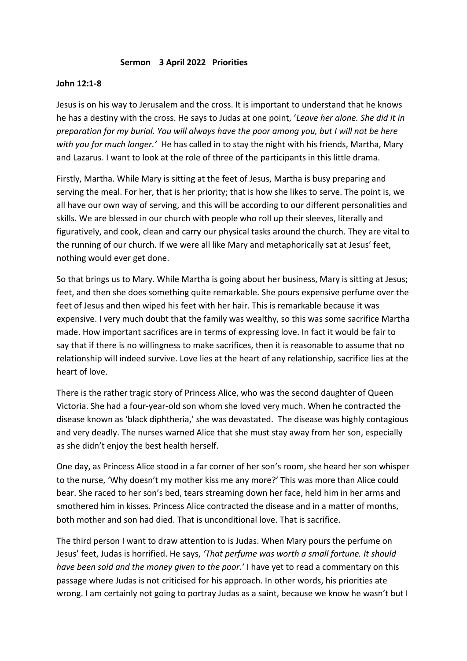## **Sermon 3 April 2022 Priorities**

## **John 12:1-8**

Jesus is on his way to Jerusalem and the cross. It is important to understand that he knows he has a destiny with the cross. He says to Judas at one point, '*Leave her alone. She did it in preparation for my burial. You will always have the poor among you, but I will not be here with you for much longer.'* He has called in to stay the night with his friends, Martha, Mary and Lazarus. I want to look at the role of three of the participants in this little drama.

Firstly, Martha. While Mary is sitting at the feet of Jesus, Martha is busy preparing and serving the meal. For her, that is her priority; that is how she likes to serve. The point is, we all have our own way of serving, and this will be according to our different personalities and skills. We are blessed in our church with people who roll up their sleeves, literally and figuratively, and cook, clean and carry our physical tasks around the church. They are vital to the running of our church. If we were all like Mary and metaphorically sat at Jesus' feet, nothing would ever get done.

So that brings us to Mary. While Martha is going about her business, Mary is sitting at Jesus; feet, and then she does something quite remarkable. She pours expensive perfume over the feet of Jesus and then wiped his feet with her hair. This is remarkable because it was expensive. I very much doubt that the family was wealthy, so this was some sacrifice Martha made. How important sacrifices are in terms of expressing love. In fact it would be fair to say that if there is no willingness to make sacrifices, then it is reasonable to assume that no relationship will indeed survive. Love lies at the heart of any relationship, sacrifice lies at the heart of love.

There is the rather tragic story of Princess Alice, who was the second daughter of Queen Victoria. She had a four-year-old son whom she loved very much. When he contracted the disease known as 'black diphtheria,' she was devastated. The disease was highly contagious and very deadly. The nurses warned Alice that she must stay away from her son, especially as she didn't enjoy the best health herself.

One day, as Princess Alice stood in a far corner of her son's room, she heard her son whisper to the nurse, 'Why doesn't my mother kiss me any more?' This was more than Alice could bear. She raced to her son's bed, tears streaming down her face, held him in her arms and smothered him in kisses. Princess Alice contracted the disease and in a matter of months, both mother and son had died. That is unconditional love. That is sacrifice.

The third person I want to draw attention to is Judas. When Mary pours the perfume on Jesus' feet, Judas is horrified. He says, *'That perfume was worth a small fortune. It should have been sold and the money given to the poor.'* I have yet to read a commentary on this passage where Judas is not criticised for his approach. In other words, his priorities ate wrong. I am certainly not going to portray Judas as a saint, because we know he wasn't but I